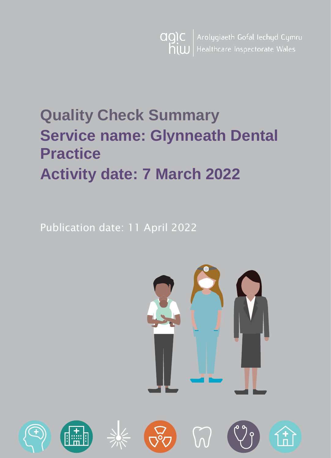$\big\vert$  Arolygiaeth Gofal Iechyd Cymru agic | Healthcare Inspectorate Wales hiw

# **Quality Check Summary Service name: Glynneath Dental Practice Activity date: 7 March 2022**

Publication date: 11 April 2022



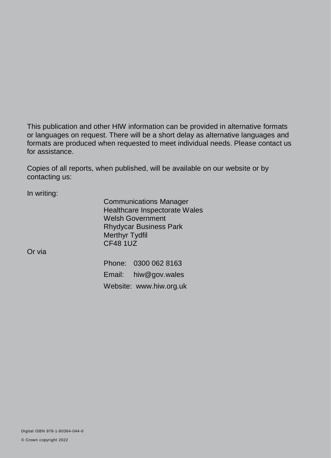This publication and other HIW information can be provided in alternative formats or languages on request. There will be a short delay as alternative languages and formats are produced when requested to meet individual needs. Please contact us for assistance.

Copies of all reports, when published, will be available on our website or by contacting us:

In writing:

Communications Manager Healthcare Inspectorate Wales Welsh Government Rhydycar Business Park Merthyr Tydfil CF48 1UZ

Or via

Phone: 0300 062 8163 Email: [hiw@gov.wales](mailto:hiw@gov.wales) Website: [www.hiw.org.uk](http://www.hiw.org.uk/)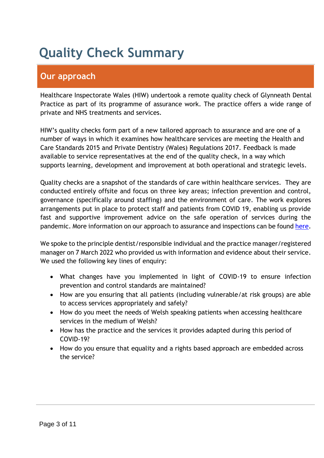# **Quality Check Summary**

# **Our approach**

Healthcare Inspectorate Wales (HIW) undertook a remote quality check of Glynneath Dental Practice as part of its programme of assurance work. The practice offers a wide range of private and NHS treatments and services.

HIW's quality checks form part of a new tailored approach to assurance and are one of a number of ways in which it examines how healthcare services are meeting the Health and Care Standards 2015 and Private Dentistry (Wales) Regulations 2017. Feedback is made available to service representatives at the end of the quality check, in a way which supports learning, development and improvement at both operational and strategic levels.

Quality checks are a snapshot of the standards of care within healthcare services. They are conducted entirely offsite and focus on three key areas; infection prevention and control, governance (specifically around staffing) and the environment of care. The work explores arrangements put in place to protect staff and patients from COVID 19, enabling us provide fast and supportive improvement advice on the safe operation of services during the pandemic. More information on our approach to assurance and inspections can be found [here.](https://hiw.org.uk/covid-19-response-and-our-approach-assurance-and-inspection)

We spoke to the principle dentist/responsible individual and the practice manager/registered manager on 7 March 2022 who provided us with information and evidence about their service. We used the following key lines of enquiry:

- What changes have you implemented in light of COVID-19 to ensure infection prevention and control standards are maintained?
- How are you ensuring that all patients (including vulnerable/at risk groups) are able to access services appropriately and safely?
- How do you meet the needs of Welsh speaking patients when accessing healthcare services in the medium of Welsh?
- How has the practice and the services it provides adapted during this period of COVID-19?
- How do you ensure that equality and a rights based approach are embedded across the service?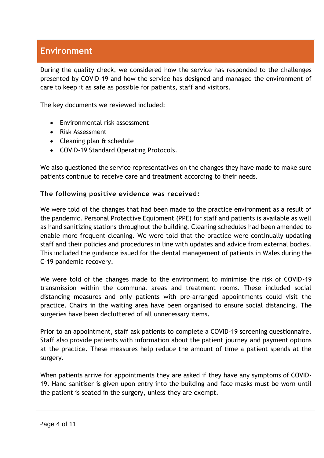# **Environment**

During the quality check, we considered how the service has responded to the challenges presented by COVID-19 and how the service has designed and managed the environment of care to keep it as safe as possible for patients, staff and visitors.

The key documents we reviewed included:

- Environmental risk assessment
- Risk Assessment
- Cleaning plan & schedule
- COVID-19 Standard Operating Protocols.

We also questioned the service representatives on the changes they have made to make sure patients continue to receive care and treatment according to their needs.

#### **The following positive evidence was received:**

We were told of the changes that had been made to the practice environment as a result of the pandemic. Personal Protective Equipment (PPE) for staff and patients is available as well as hand sanitizing stations throughout the building. Cleaning schedules had been amended to enable more frequent cleaning. We were told that the practice were continually updating staff and their policies and procedures in line with updates and advice from external bodies. This included the guidance issued for the dental management of patients in Wales during the C-19 pandemic recovery.

We were told of the changes made to the environment to minimise the risk of COVID-19 transmission within the communal areas and treatment rooms. These included social distancing measures and only patients with pre-arranged appointments could visit the practice. Chairs in the waiting area have been organised to ensure social distancing. The surgeries have been decluttered of all unnecessary items.

Prior to an appointment, staff ask patients to complete a COVID-19 screening questionnaire. Staff also provide patients with information about the patient journey and payment options at the practice. These measures help reduce the amount of time a patient spends at the surgery.

When patients arrive for appointments they are asked if they have any symptoms of COVID-19. Hand sanitiser is given upon entry into the building and face masks must be worn until the patient is seated in the surgery, unless they are exempt.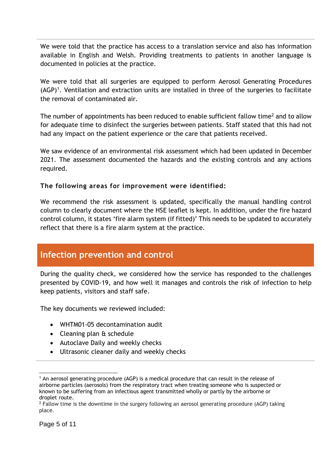We were told that the practice has access to a translation service and also has information available in English and Welsh. Providing treatments to patients in another language is documented in policies at the practice.

We were told that all surgeries are equipped to perform Aerosol Generating Procedures  $(AGP)^1$ . Ventilation and extraction units are installed in three of the surgeries to facilitate the removal of contaminated air.

The number of appointments has been reduced to enable sufficient fallow time<sup>2</sup> and to allow for adequate time to disinfect the surgeries between patients. Staff stated that this had not had any impact on the patient experience or the care that patients received.

We saw evidence of an environmental risk assessment which had been updated in December 2021. The assessment documented the hazards and the existing controls and any actions required.

#### **The following areas for improvement were identified:**

We recommend the risk assessment is updated, specifically the manual handling control column to clearly document where the HSE leaflet is kept. In addition, under the fire hazard control column, it states 'fire alarm system (if fitted)' This needs to be updated to accurately reflect that there is a fire alarm system at the practice.

## **Infection prevention and control**

During the quality check, we considered how the service has responded to the challenges presented by COVID-19, and how well it manages and controls the risk of infection to help keep patients, visitors and staff safe.

The key documents we reviewed included:

- WHTM01-05 decontamination audit
- Cleaning plan & schedule
- Autoclave Daily and weekly checks
- Ultrasonic cleaner daily and weekly checks

 $\overline{a}$ 

 $<sup>1</sup>$  An aerosol generating procedure (AGP) is a medical procedure that can result in the release of</sup> airborne particles (aerosols) from the respiratory tract when treating someone who is suspected or known to be suffering from an infectious agent transmitted wholly or partly by the airborne or droplet route.

<sup>&</sup>lt;sup>2</sup> Fallow time is the downtime in the surgery following an aerosol generating procedure (AGP) taking place.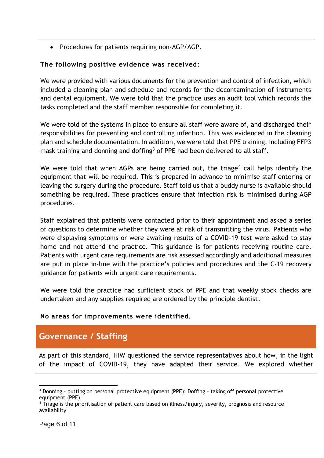• Procedures for patients requiring non-AGP/AGP.

#### **The following positive evidence was received:**

We were provided with various documents for the prevention and control of infection, which included a cleaning plan and schedule and records for the decontamination of instruments and dental equipment. We were told that the practice uses an audit tool which records the tasks completed and the staff member responsible for completing it.

We were told of the systems in place to ensure all staff were aware of, and discharged their responsibilities for preventing and controlling infection. This was evidenced in the cleaning plan and schedule documentation. In addition, we were told that PPE training, including FFP3 mask training and donning and doffing<sup>3</sup> of PPE had been delivered to all staff.

We were told that when AGPs are being carried out, the triage<sup>4</sup> call helps identify the equipment that will be required. This is prepared in advance to minimise staff entering or leaving the surgery during the procedure. Staff told us that a buddy nurse is available should something be required. These practices ensure that infection risk is minimised during AGP procedures.

Staff explained that patients were contacted prior to their appointment and asked a series of questions to determine whether they were at risk of transmitting the virus. Patients who were displaying symptoms or were awaiting results of a COVID-19 test were asked to stay home and not attend the practice. This guidance is for patients receiving routine care. Patients with urgent care requirements are risk assessed accordingly and additional measures are put in place in-line with the practice's policies and procedures and the C-19 recovery guidance for patients with urgent care requirements.

We were told the practice had sufficient stock of PPE and that weekly stock checks are undertaken and any supplies required are ordered by the principle dentist.

#### **No areas for improvements were identified.**

## **Governance / Staffing**

As part of this standard, HIW questioned the service representatives about how, in the light of the impact of COVID-19, they have adapted their service. We explored whether

 $\overline{a}$ 

<sup>&</sup>lt;sup>3</sup> Donning - putting on personal protective equipment (PPE); Doffing - taking off personal protective equipment (PPE)

<sup>&</sup>lt;sup>4</sup> Triage is the prioritisation of patient care based on illness/injury, severity, prognosis and resource availability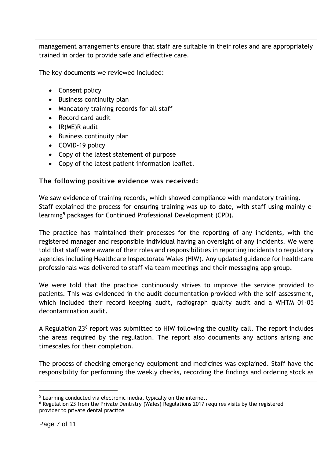management arrangements ensure that staff are suitable in their roles and are appropriately trained in order to provide safe and effective care.

The key documents we reviewed included:

- Consent policy
- Business continuity plan
- Mandatory training records for all staff
- Record card audit
- $\bullet$  IR(ME)R audit
- Business continuity plan
- COVID-19 policy
- Copy of the latest statement of purpose
- Copy of the latest patient information leaflet.

#### **The following positive evidence was received:**

We saw evidence of training records, which showed compliance with mandatory training. Staff explained the process for ensuring training was up to date, with staff using mainly elearning<sup>5</sup> packages for Continued Professional Development (CPD).

The practice has maintained their processes for the reporting of any incidents, with the registered manager and responsible individual having an oversight of any incidents. We were told that staff were aware of their roles and responsibilities in reporting incidents to regulatory agencies including Healthcare Inspectorate Wales (HIW). Any updated guidance for healthcare professionals was delivered to staff via team meetings and their messaging app group.

We were told that the practice continuously strives to improve the service provided to patients. This was evidenced in the audit documentation provided with the self-assessment, which included their record keeping audit, radiograph quality audit and a WHTM 01-05 decontamination audit.

A Regulation 23<sup>6</sup> report was submitted to HIW following the quality call. The report includes the areas required by the regulation. The report also documents any actions arising and timescales for their completion.

The process of checking emergency equipment and medicines was explained. Staff have the responsibility for performing the weekly checks, recording the findings and ordering stock as

-

<sup>&</sup>lt;sup>5</sup> Learning conducted via electronic media, typically on the internet.

<sup>6</sup> Regulation 23 from the Private Dentistry (Wales) Regulations 2017 requires visits by the registered provider to private dental practice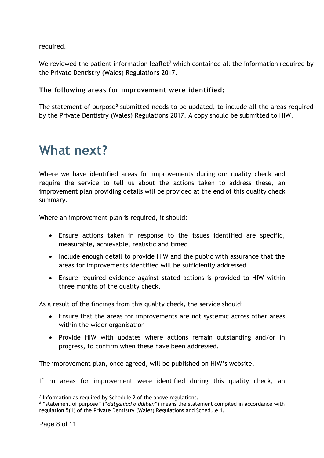required.

We reviewed the patient information leaflet<sup>7</sup> which contained all the information required by the Private Dentistry (Wales) Regulations 2017.

#### **The following areas for improvement were identified:**

The statement of purpose<sup>8</sup> submitted needs to be updated, to include all the areas required by the Private Dentistry (Wales) Regulations 2017. A copy should be submitted to HIW.

# **What next?**

Where we have identified areas for improvements during our quality check and require the service to tell us about the actions taken to address these, an improvement plan providing details will be provided at the end of this quality check summary.

Where an improvement plan is required, it should:

- Ensure actions taken in response to the issues identified are specific, measurable, achievable, realistic and timed
- Include enough detail to provide HIW and the public with assurance that the areas for improvements identified will be sufficiently addressed
- Ensure required evidence against stated actions is provided to HIW within three months of the quality check.

As a result of the findings from this quality check, the service should:

- Ensure that the areas for improvements are not systemic across other areas within the wider organisation
- Provide HIW with updates where actions remain outstanding and/or in progress, to confirm when these have been addressed.

The improvement plan, once agreed, will be published on HIW's website.

If no areas for improvement were identified during this quality check, an

 $\overline{a}$  $<sup>7</sup>$  Information as required by Schedule 2 of the above regulations.</sup>

<sup>8</sup> "statement of purpose" ("*datganiad o ddiben*") means the statement compiled in accordance with regulation 5(1) of the Private Dentistry (Wales) Regulations and Schedule 1.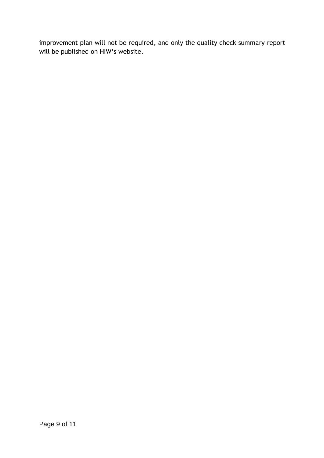improvement plan will not be required, and only the quality check summary report will be published on HIW's website.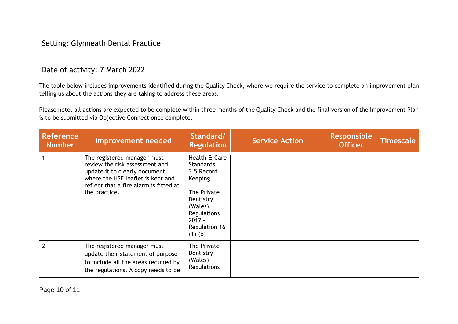### Setting: Glynneath Dental Practice

#### Date of activity: 7 March 2022

The table below includes improvements identified during the Quality Check, where we require the service to complete an improvement plan telling us about the actions they are taking to address these areas.

Please note, all actions are expected to be complete within three months of the Quality Check and the final version of the Improvement Plan is to be submitted via Objective Connect once complete.

| <b>Reference</b><br><b>Number</b> | Improvement needed                                                                                                                                                                             | Standard/<br><b>Regulation</b>                                                                                                                               | <b>Service Action</b> | <b>Responsible</b><br><b>Officer</b> | <b>Timescale</b> |
|-----------------------------------|------------------------------------------------------------------------------------------------------------------------------------------------------------------------------------------------|--------------------------------------------------------------------------------------------------------------------------------------------------------------|-----------------------|--------------------------------------|------------------|
|                                   | The registered manager must<br>review the risk assessment and<br>update it to clearly document<br>where the HSE leaflet is kept and<br>reflect that a fire alarm is fitted at<br>the practice. | Health & Care<br>Standards -<br>3.5 Record<br><b>Keeping</b><br>The Private<br>Dentistry<br>(Wales)<br>Regulations<br>$2017 -$<br>Regulation 16<br>$(1)$ (b) |                       |                                      |                  |
| $\overline{2}$                    | The registered manager must<br>update their statement of purpose<br>to include all the areas required by<br>the regulations. A copy needs to be                                                | The Private<br>Dentistry<br>(Wales)<br>Regulations                                                                                                           |                       |                                      |                  |